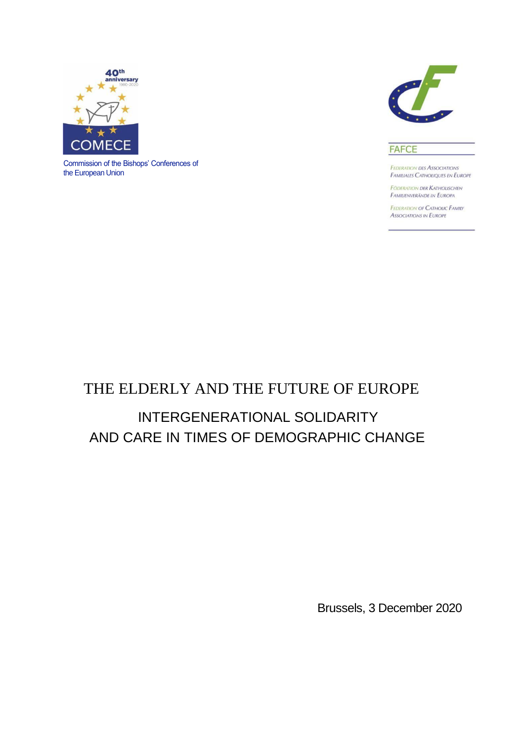

Commission of the Bishops' Conferences of the European Union



#### **FAFCE**

**FEDERATION DES ASSOCIATIONS** FAMILIALES CATHOLIQUES EN EUROPE

**FODERATION DER KATHOLISCHEN** FAMILIENVERÄNDE IN EUROPA

**FEDERATION OF CATHOLIC FAMILY ASSOCIATIONS IN EUROPE** 

## THE ELDERLY AND THE FUTURE OF EUROPE

# INTERGENERATIONAL SOLIDARITY AND CARE IN TIMES OF DEMOGRAPHIC CHANGE

Brussels, 3 December 2020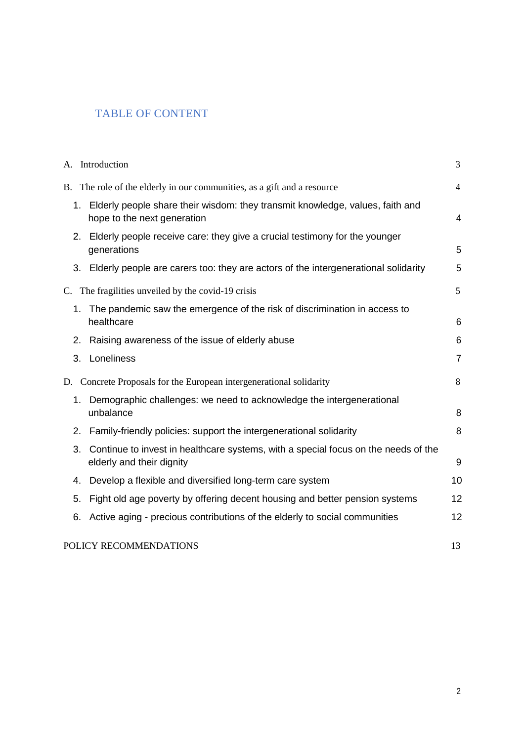## TABLE OF CONTENT

|                                                                        | A. Introduction                                                                                                 | 3              |
|------------------------------------------------------------------------|-----------------------------------------------------------------------------------------------------------------|----------------|
|                                                                        | B. The role of the elderly in our communities, as a gift and a resource                                         | $\overline{4}$ |
| 1.                                                                     | Elderly people share their wisdom: they transmit knowledge, values, faith and<br>hope to the next generation    | $\overline{4}$ |
| 2.                                                                     | Elderly people receive care: they give a crucial testimony for the younger<br>generations                       | 5              |
|                                                                        | 3. Elderly people are carers too: they are actors of the intergenerational solidarity                           | 5              |
| C.                                                                     | The fragilities unveiled by the covid-19 crisis                                                                 | 5              |
| 1.                                                                     | The pandemic saw the emergence of the risk of discrimination in access to<br>healthcare                         | 6              |
| 2.                                                                     | Raising awareness of the issue of elderly abuse                                                                 | 6              |
| 3.                                                                     | Loneliness                                                                                                      | $\overline{7}$ |
| Concrete Proposals for the European intergenerational solidarity<br>D. |                                                                                                                 | 8              |
|                                                                        | 1. Demographic challenges: we need to acknowledge the intergenerational<br>unbalance                            | 8              |
| 2.                                                                     | Family-friendly policies: support the intergenerational solidarity                                              | 8              |
| 3.                                                                     | Continue to invest in healthcare systems, with a special focus on the needs of the<br>elderly and their dignity | 9              |
| 4.                                                                     | Develop a flexible and diversified long-term care system                                                        | 10             |
| 5.                                                                     | Fight old age poverty by offering decent housing and better pension systems                                     | 12             |
| 6.                                                                     | Active aging - precious contributions of the elderly to social communities                                      | 12             |
|                                                                        | POLICY RECOMMENDATIONS                                                                                          | 13             |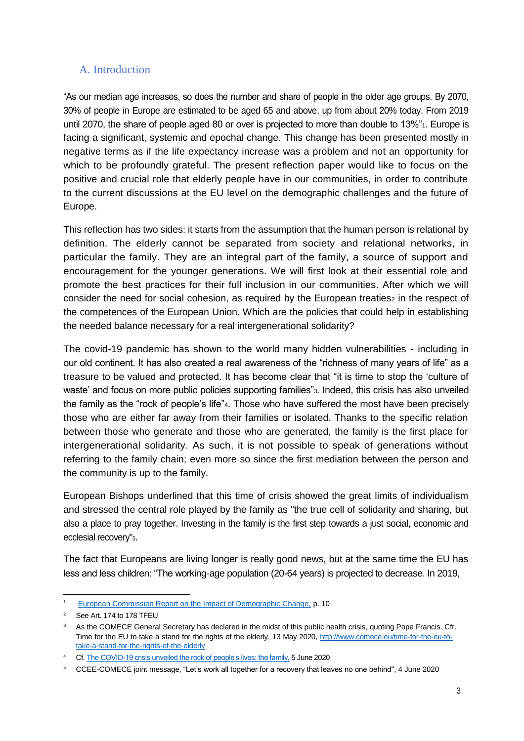### A. Introduction

"As our median age increases, so does the number and share of people in the older age groups. By 2070, 30% of people in Europe are estimated to be aged 65 and above, up from about 20% today. From 2019 until 2070, the share of people aged 80 or over is projected to more than double to 13%"<sub>1</sub>. Europe is facing a significant, systemic and epochal change. This change has been presented mostly in negative terms as if the life expectancy increase was a problem and not an opportunity for which to be profoundly grateful. The present reflection paper would like to focus on the positive and crucial role that elderly people have in our communities, in order to contribute to the current discussions at the EU level on the demographic challenges and the future of Europe.

This reflection has two sides: it starts from the assumption that the human person is relational by definition. The elderly cannot be separated from society and relational networks, in particular the family. They are an integral part of the family, a source of support and encouragement for the younger generations. We will first look at their essential role and promote the best practices for their full inclusion in our communities. After which we will consider the need for social cohesion, as required by the European treaties<sub>2</sub> in the respect of the competences of the European Union. Which are the policies that could help in establishing the needed balance necessary for a real intergenerational solidarity?

The covid-19 pandemic has shown to the world many hidden vulnerabilities - including in our old continent. It has also created a real awareness of the "richness of many years of life" as a treasure to be valued and protected. It has become clear that "it is time to stop the 'culture of waste' and focus on more public policies supporting families"3. Indeed, this crisis has also unveiled the family as the "rock of people's life"4. Those who have suffered the most have been precisely those who are either far away from their families or isolated. Thanks to the specific relation between those who generate and those who are generated, the family is the first place for intergenerational solidarity. As such, it is not possible to speak of generations without referring to the family chain; even more so since the first mediation between the person and the community is up to the family.

European Bishops underlined that this time of crisis showed the great limits of individualism and stressed the central role played by the family as "the true cell of solidarity and sharing, but also a place to pray together. Investing in the family is the first step towards a just social, economic and ecclesial recovery"5.

The fact that Europeans are living longer is really good news, but at the same time the EU has less and less children: "The working-age population (20-64 years) is projected to decrease. In 2019,

[European Commission Report on the Impact of Demographic Change,](https://ec.europa.eu/info/sites/info/files/demography_report_2020_n.pdf) p. 10

<sup>&</sup>lt;sup>2</sup> See Art. 174 to 178 TFEU

<sup>&</sup>lt;sup>3</sup> As the COMECE General Secretary has declared in the midst of this public health crisis, quoting Pope Francis. Cfr. Time for the EU to take a stand for the rights of the elderly, 13 May 2020, [http://www.comece.eu/time-for-the-eu-to](http://www.comece.eu/time-for-the-eu-to-take-a-stand-for-the-rights-of-the-elderly)[take-a-stand-for-the-rights-of-the-elderly](http://www.comece.eu/time-for-the-eu-to-take-a-stand-for-the-rights-of-the-elderly)

<sup>&</sup>lt;sup>4</sup> Cf[. The COVID-19 crisis unveiled the rock of people's lives: the family,](https://www.fafce.org/news/press-releases/press-release-the-covid-19-crisis-unveiled-the-rock-of-peoples-lives-the-family/) 5 June 2020

<sup>5</sup>CCEE-COMECE joint message, ["Let's work all together for a recovery that leaves no one behind",](http://www.comece.eu/comece-ccee-presidencies-lets-work-all-together-for-a-recovery-that-leaves-no-one-behind) 4 June 2020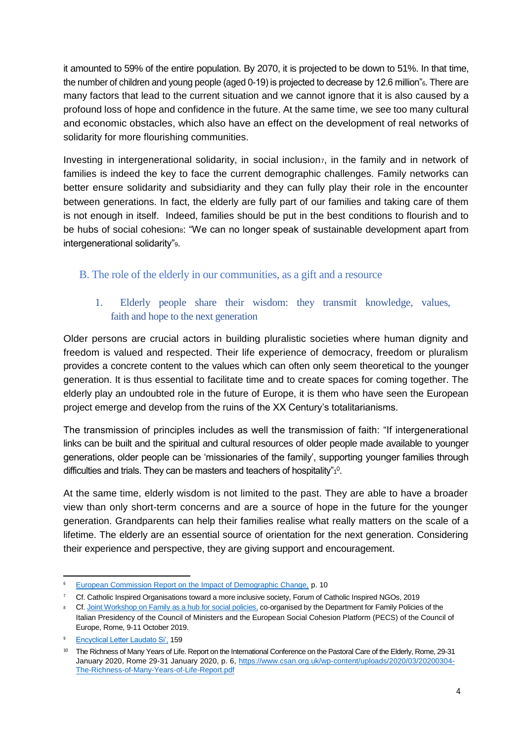it amounted to 59% of the entire population. By 2070, it is projected to be down to 51%. In that time, the number of children and young people (aged 0-19) is projected to decrease by 12.6 million"<sup>6</sup>. There are many factors that lead to the current situation and we cannot ignore that it is also caused by a profound loss of hope and confidence in the future. At the same time, we see too many cultural and economic obstacles, which also have an effect on the development of real networks of solidarity for more flourishing communities.

Investing in intergenerational solidarity, in social inclusion, in the family and in network of families is indeed the key to face the current demographic challenges. Family networks can better ensure solidarity and subsidiarity and they can fully play their role in the encounter between generations. In fact, the elderly are fully part of our families and taking care of them is not enough in itself. Indeed, families should be put in the best conditions to flourish and to be hubs of social cohesions: "We can no longer speak of sustainable development apart from intergenerational solidarity"<sup>9</sup>.

## B. The role of the elderly in our communities, as a gift and a resource

## 1. Elderly people share their wisdom: they transmit knowledge, values, faith and hope to the next generation

Older persons are crucial actors in building pluralistic societies where human dignity and freedom is valued and respected. Their life experience of democracy, freedom or pluralism provides a concrete content to the values which can often only seem theoretical to the younger generation. It is thus essential to facilitate time and to create spaces for coming together. The elderly play an undoubted role in the future of Europe, it is them who have seen the European project emerge and develop from the ruins of the XX Century's totalitarianisms.

The transmission of principles includes as well the transmission of faith: "If intergenerational links can be built and the spiritual and cultural resources of older people made available to younger generations, older people can be 'missionaries of the family', supporting younger families through difficulties and trials. They can be masters and teachers of hospitality" $\rm t^0$ .

At the same time, elderly wisdom is not limited to the past. They are able to have a broader view than only short-term concerns and are a source of hope in the future for the younger generation. Grandparents can help their families realise what really matters on the scale of a lifetime. The elderly are an essential source of orientation for the next generation. Considering their experience and perspective, they are giving support and encouragement.

<sup>&</sup>lt;sup>6</sup> [European Commission Report on the Impact of Demographic Change,](https://ec.europa.eu/info/sites/info/files/demography_report_2020_n.pdf) p. 10

<sup>7</sup> Cf. Catholic Inspired Organisations toward a more inclusive society, Forum of Catholic Inspired NGOs, 2019

<sup>&</sup>lt;sup>8</sup> Cf. [Joint Workshop on Family as a hub for social policies,](https://www.coe.int/en/web/european-social-charter/-/deputy-secretary-general-opens-joint-workshop-on-family-as-a-hub-for-social-policies-in-rome) co-organised by the Department for Family Policies of the Italian Presidency of the Council of Ministers and the European Social Cohesion Platform (PECS) of the Council of Europe, Rome, 9-11 October 2019.

<sup>9</sup> [Encyclical Letter Laudato Si',](http://www.vatican.va/content/francesco/en/encyclicals/documents/papa-francesco_20150524_enciclica-laudato-si.html) 159

<sup>&</sup>lt;sup>10</sup> The Richness of Many Years of Life. Report on the International Conference on the Pastoral Care of the Elderly, Rome, 29-31 January 2020, Rome 29-31 January 2020, p. 6, [https://www.csan.org.uk/wp-content/uploads/2020/03/20200304-](https://www.csan.org.uk/wp-content/uploads/2020/03/20200304-The-Richness-of-Many-Years-of-Life-Report.pdf) [The-Richness-of-Many-Years-of-Life-Report.pdf](https://www.csan.org.uk/wp-content/uploads/2020/03/20200304-The-Richness-of-Many-Years-of-Life-Report.pdf)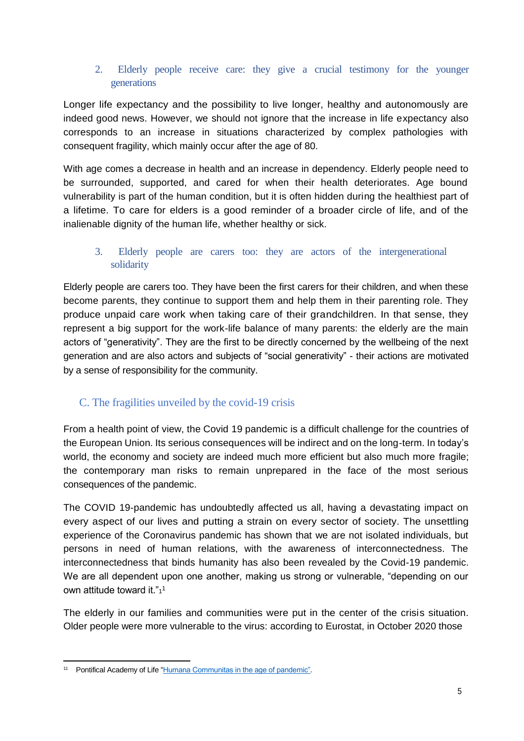#### 2. Elderly people receive care: they give a crucial testimony for the younger generations

Longer life expectancy and the possibility to live longer, healthy and autonomously are indeed good news. However, we should not ignore that the increase in life expectancy also corresponds to an increase in situations characterized by complex pathologies with consequent fragility, which mainly occur after the age of 80.

With age comes a decrease in health and an increase in dependency. Elderly people need to be surrounded, supported, and cared for when their health deteriorates. Age bound vulnerability is part of the human condition, but it is often hidden during the healthiest part of a lifetime. To care for elders is a good reminder of a broader circle of life, and of the inalienable dignity of the human life, whether healthy or sick.

#### 3. Elderly people are carers too: they are actors of the intergenerational solidarity

Elderly people are carers too. They have been the first carers for their children, and when these become parents, they continue to support them and help them in their parenting role. They produce unpaid care work when taking care of their grandchildren. In that sense, they represent a big support for the work-life balance of many parents: the elderly are the main actors of "generativity". They are the first to be directly concerned by the wellbeing of the next generation and are also actors and subjects of "social generativity" - their actions are motivated by a sense of responsibility for the community.

## C. The fragilities unveiled by the covid-19 crisis

From a health point of view, the Covid 19 pandemic is a difficult challenge for the countries of the European Union. Its serious consequences will be indirect and on the long-term. In today's world, the economy and society are indeed much more efficient but also much more fragile; the contemporary man risks to remain unprepared in the face of the most serious consequences of the pandemic.

The COVID 19-pandemic has undoubtedly affected us all, having a devastating impact on every aspect of our lives and putting a strain on every sector of society. The unsettling experience of the Coronavirus pandemic has shown that we are not isolated individuals, but persons in need of human relations, with the awareness of interconnectedness. The interconnectedness that binds humanity has also been revealed by the Covid-19 pandemic. We are all dependent upon one another, making us strong or vulnerable, "depending on our own attitude toward it." $1^1$ 

The elderly in our families and communities were put in the center of the crisis situation. Older people were more vulnerable to the virus: according to Eurostat, in October 2020 those

<sup>11</sup> Pontifical Academy of Lif[e "Humana Communitas in the age of pandemic".](http://www.vatican.va/roman_curia/pontifical_academies/acdlife/documents/rc_pont-acd_life_doc_20200722_humanacomunitas-erapandemia_en.htmlhttp:/www.vatican.va/roman_curia/pontifical_academies/acdlife/documents/rc_pont-acd_life_doc_20200722_humanacomunitas-erapandemia_en.html)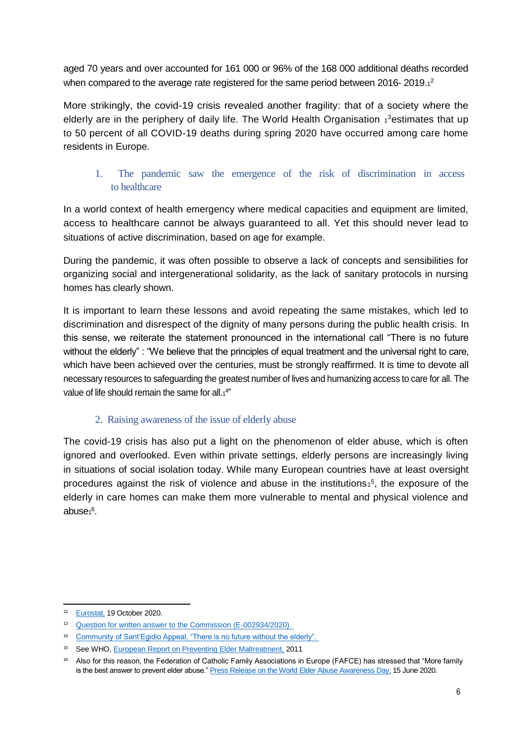aged 70 years and over accounted for 161 000 or 96% of the 168 000 additional deaths recorded when compared to the average rate registered for the same period between 2016- 2019. $1^2$ 

More strikingly, the covid-19 crisis revealed another fragility: that of a society where the elderly are in the periphery of daily life. The World Health Organisation 1<sup>3</sup>estimates that up to 50 percent of all COVID-19 deaths during spring 2020 have occurred among care home residents in Europe.

### 1. The pandemic saw the emergence of the risk of discrimination in access to healthcare

In a world context of health emergency where medical capacities and equipment are limited, access to healthcare cannot be always guaranteed to all. Yet this should never lead to situations of active discrimination, based on age for example.

During the pandemic, it was often possible to observe a lack of concepts and sensibilities for organizing social and intergenerational solidarity, as the lack of sanitary protocols in nursing homes has clearly shown.

It is important to learn these lessons and avoid repeating the same mistakes, which led to discrimination and disrespect of the dignity of many persons during the public health crisis. In this sense, we reiterate the statement pronounced in the international call "There is no future without the elderly" : "We believe that the principles of equal treatment and the universal right to care, which have been achieved over the centuries, must be strongly reaffirmed. It is time to devote all necessary resources to safeguarding the greatest number of lives and humanizing access to care for all. The value of life should remain the same for all. $14$ "

#### 2. Raising awareness of the issue of elderly abuse

The covid-19 crisis has also put a light on the phenomenon of elder abuse, which is often ignored and overlooked. Even within private settings, elderly persons are increasingly living in situations of social isolation today. While many European countries have at least oversight procedures against the risk of violence and abuse in the institutions<sup>15</sup>, the exposure of the elderly in care homes can make them more vulnerable to mental and physical violence and abuse1<sup>6</sup>.

<sup>&</sup>lt;sup>12</sup> [Eurostat,](https://ec.europa.eu/eurostat/documents/2995521/11438257/3-19102020-BP-EN.pdf/cc763e0b-38c3-f99f-1f9c-81fa5f3d3850) 19 October 2020.

<sup>&</sup>lt;sup>13</sup> Question for written answer to the Commission (E-002934/2020).

<sup>&</sup>lt;sup>14</sup> Community of Sant'Egidio Appeal, "There is no future without the elderly".

<sup>&</sup>lt;sup>15</sup> See WHO, [European Report on Preventing Elder Maltreatment,](https://www.euro.who.int/__data/assets/pdf_file/0010/144676/e95110.pdf) 2011

<sup>&</sup>lt;sup>16</sup> Also for this reason, the Federation of Catholic Family Associations in Europe (FAFCE) has stressed that "More family is the best answer to prevent elder abuse.[" Press Release on the World Elder Abuse Awareness Day,](https://www.fafce.org/press-release-world-elder-abuse-awareness-day-more-family-is-the-answer-to-prevent-elder-abuse/) 15 June 2020.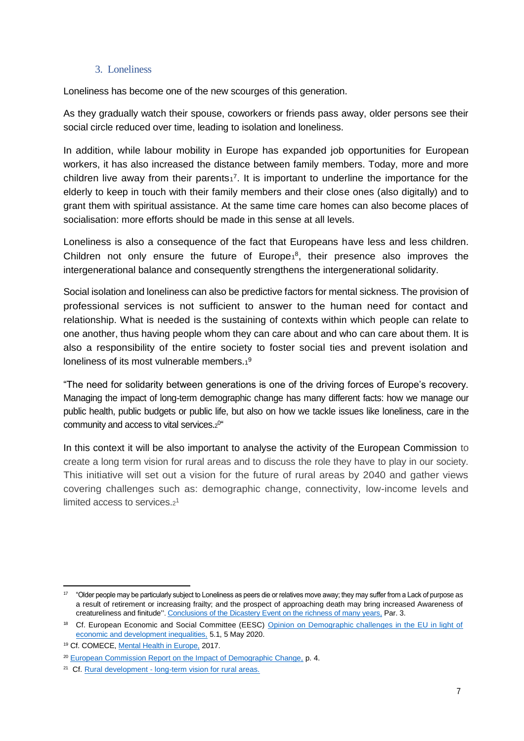#### 3. Loneliness

Loneliness has become one of the new scourges of this generation.

As they gradually watch their spouse, coworkers or friends pass away, older persons see their social circle reduced over time, leading to isolation and loneliness.

In addition, while labour mobility in Europe has expanded job opportunities for European workers, it has also increased the distance between family members. Today, more and more children live away from their parents $1^7$ . It is important to underline the importance for the elderly to keep in touch with their family members and their close ones (also digitally) and to grant them with spiritual assistance. At the same time care homes can also become places of socialisation: more efforts should be made in this sense at all levels.

Loneliness is also a consequence of the fact that Europeans have less and less children. Children not only ensure the future of Europe $1^8$ , their presence also improves the intergenerational balance and consequently strengthens the intergenerational solidarity.

Social isolation and loneliness can also be predictive factors for mental sickness. The provision of professional services is not sufficient to answer to the human need for contact and relationship. What is needed is the sustaining of contexts within which people can relate to one another, thus having people whom they can care about and who can care about them. It is also a responsibility of the entire society to foster social ties and prevent isolation and loneliness of its most vulnerable members.19

"The need for solidarity between generations is one of the driving forces of Europe's recovery. Managing the impact of long-term demographic change has many different facts: how we manage our public health, public budgets or public life, but also on how we tackle issues like loneliness, care in the community and access to vital services.<sup>2</sup> 0 "

In this context it will be also important to analyse the activity of the European Commission to create a long term vision for rural areas and to discuss the role they have to play in our society. This initiative will set out a vision for the future of rural areas by 2040 and gather views covering challenges such as: demographic change, connectivity, low-income levels and limited access to services.<sup>21</sup>

 $^{17}$  "Older people may be particularly subject to Loneliness as peers die or relatives move away; they may suffer from a Lack of purpose as a result of retirement or increasing frailty; and the prospect of approaching death may bring increased Awareness of creatureliness and finitude". [Conclusions of the Dicastery Event on the richness of many years,](https://www.csan.org.uk/wp-content/uploads/2020/03/20200304-The-Richness-of-Many-Years-of-Life-Report.pdf) Par. 3.

<sup>&</sup>lt;sup>18</sup> Cf. European Economic and Social Committee (EESC) Opinion on Demographic challenges in the EU in light of [economic and development inequalities,](https://www.eesc.europa.eu/en/our-work/opinions-information-reports/opinions/demographic-challenges-eu-light-economic-and-development-inequalities-exploratory-opinion-request-croatian-presidency) 5.1, 5 May 2020.

<sup>19</sup> Cf. COMECE[, Mental Health in Europe,](http://www.comece.eu/dl/LkuuJKJKolnnJqx4KJK/20170123PUBMentalHEALTH_EN.pdf) 2017.

<sup>&</sup>lt;sup>20</sup> [European Commission Report on the Impact of Demographic Change,](https://ec.europa.eu/info/sites/info/files/demography_report_2020_n.pdf) p. 4.

<sup>&</sup>lt;sup>21</sup> Cf. Rural development - [long-term vision for rural areas.](https://ec.europa.eu/info/law/better-regulation/have-your-say/initiatives/12525-Long-term-vision-for-rural-areas)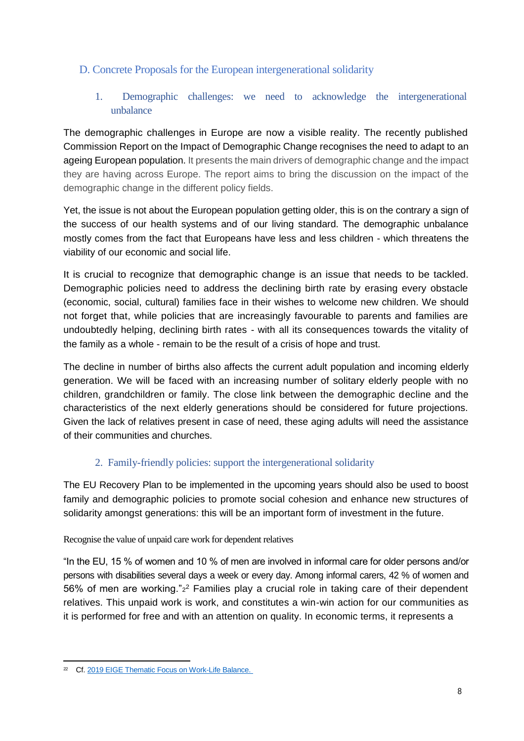## D. Concrete Proposals for the European intergenerational solidarity

1. Demographic challenges: we need to acknowledge the intergenerational unbalance

The demographic challenges in Europe are now a visible reality. The recently published Commission Report on the Impact of Demographic Change recognises the need to adapt to an ageing European population. It presents the main drivers of demographic change and the impact they are having across Europe. The report aims to bring the discussion on the impact of the demographic change in the different policy fields.

Yet, the issue is not about the European population getting older, this is on the contrary a sign of the success of our health systems and of our living standard. The demographic unbalance mostly comes from the fact that Europeans have less and less children - which threatens the viability of our economic and social life.

It is crucial to recognize that demographic change is an issue that needs to be tackled. Demographic policies need to address the declining birth rate by erasing every obstacle (economic, social, cultural) families face in their wishes to welcome new children. We should not forget that, while policies that are increasingly favourable to parents and families are undoubtedly helping, declining birth rates - with all its consequences towards the vitality of the family as a whole - remain to be the result of a crisis of hope and trust.

The decline in number of births also affects the current adult population and incoming elderly generation. We will be faced with an increasing number of solitary elderly people with no children, grandchildren or family. The close link between the demographic decline and the characteristics of the next elderly generations should be considered for future projections. Given the lack of relatives present in case of need, these aging adults will need the assistance of their communities and churches.

## 2. Family-friendly policies: support the intergenerational solidarity

The EU Recovery Plan to be implemented in the upcoming years should also be used to boost family and demographic policies to promote social cohesion and enhance new structures of solidarity amongst generations: this will be an important form of investment in the future.

Recognise the value of unpaid care work for dependent relatives

"In the EU, 15 % of women and 10 % of men are involved in informal care for older persons and/or persons with disabilities several days a week or every day. Among informal carers, 42 % of women and 56% of men are working."<sup>2</sup> Families play a crucial role in taking care of their dependent relatives. This unpaid work is work, and constitutes a win-win action for our communities as it is performed for free and with an attention on quality. In economic terms, it represents a

<sup>&</sup>lt;sup>22</sup> Cf. 2019 EIGE Thematic Focus on Work-Life Balance.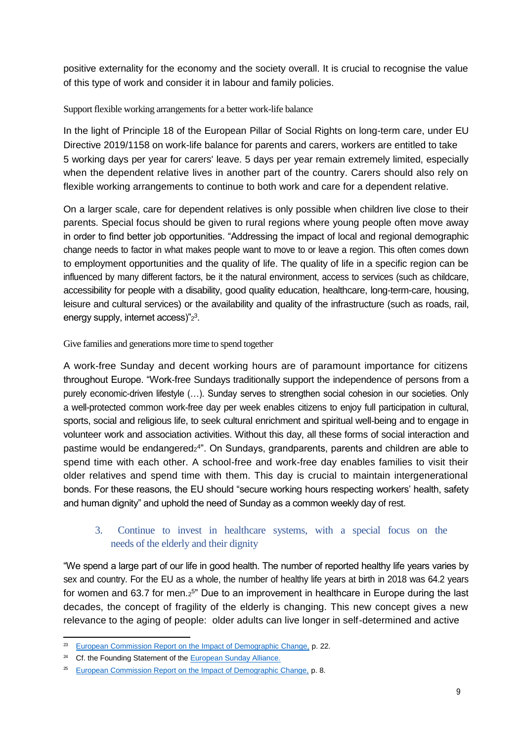positive externality for the economy and the society overall. It is crucial to recognise the value of this type of work and consider it in labour and family policies.

#### Support flexible working arrangements for a better work-life balance

In the light of Principle 18 of the European Pillar of Social Rights on long-term care, under EU Directive 2019/1158 on work-life balance for parents and carers, workers are entitled to take 5 working days per year for carers' leave. 5 days per year remain extremely limited, especially when the dependent relative lives in another part of the country. Carers should also rely on flexible working arrangements to continue to both work and care for a dependent relative.

On a larger scale, care for dependent relatives is only possible when children live close to their parents. Special focus should be given to rural regions where young people often move away in order to find better job opportunities. "Addressing the impact of local and regional demographic change needs to factor in what makes people want to move to or leave a region. This often comes down to employment opportunities and the quality of life. The quality of life in a specific region can be influenced by many different factors, be it the natural environment, access to services (such as childcare, accessibility for people with a disability, good quality education, healthcare, long-term-care, housing, leisure and cultural services) or the availability and quality of the infrastructure (such as roads, rail, energy supply, internet access)" $z^3$ .

Give families and generations more time to spend together

A work-free Sunday and decent working hours are of paramount importance for citizens throughout Europe. "Work-free Sundays traditionally support the independence of persons from a purely economic-driven lifestyle (…). Sunday serves to strengthen social cohesion in our societies. Only a well-protected common work-free day per week enables citizens to enjoy full participation in cultural, sports, social and religious life, to seek cultural enrichment and spiritual well-being and to engage in volunteer work and association activities. Without this day, all these forms of social interaction and pastime would be endangered<sup>24"</sup>. On Sundays, grandparents, parents and children are able to spend time with each other. A school-free and work-free day enables families to visit their older relatives and spend time with them. This day is crucial to maintain intergenerational bonds. For these reasons, the EU should "secure working hours respecting workers' health, safety and human dignity" and uphold the need of Sunday as a common weekly day of rest.

### 3. Continue to invest in healthcare systems, with a special focus on the needs of the elderly and their dignity

"We spend a large part of our life in good health. The number of reported healthy life years varies by sex and country. For the EU as a whole, the number of healthy life years at birth in 2018 was 64.2 years for women and 63.7 for men.<sub>2</sub>5" Due to an improvement in healthcare in Europe during the last decades, the concept of fragility of the elderly is changing. This new concept gives a new relevance to the aging of people: older adults can live longer in self-determined and active

<sup>&</sup>lt;sup>23</sup> [European Commission Report on the Impact of Demographic Change,](https://ec.europa.eu/info/sites/info/files/demography_report_2020_n.pdf) p. 22.

<sup>&</sup>lt;sup>24</sup> Cf. the Founding Statement of the [European Sunday Alliance.](http://www.europeansundayalliance.eu/site/foundingstatement)

<sup>&</sup>lt;sup>25</sup> [European Commission Report on the Impact of Demographic Change,](https://ec.europa.eu/info/sites/info/files/demography_report_2020_n.pdf) p. 8.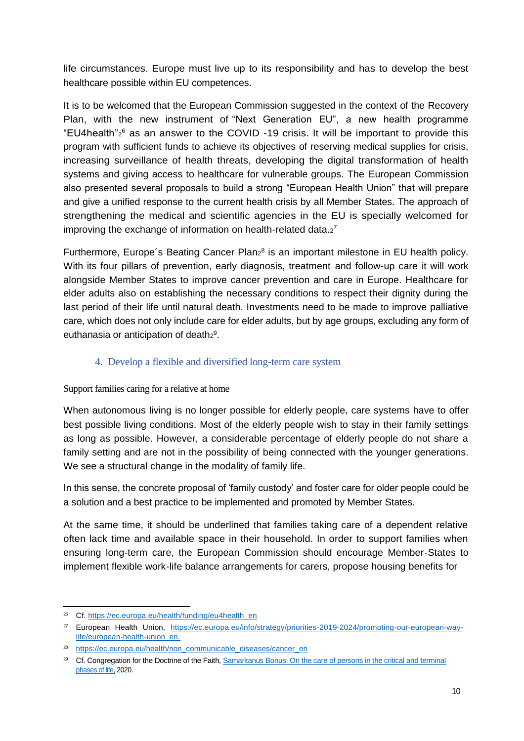life circumstances. Europe must live up to its responsibility and has to develop the best healthcare possible within EU competences.

It is to be welcomed that the European Commission suggested in the context of the Recovery Plan, with the new instrument of "Next Generation EU", a new health programme "EU4health"<sup>2</sup> <sup>6</sup> as an answer to the COVID -19 crisis. It will be important to provide this program with sufficient funds to achieve its objectives of reserving medical supplies for crisis, increasing surveillance of health threats, developing the digital transformation of health systems and giving access to healthcare for vulnerable groups. The European Commission also presented several proposals to build a strong "European Health Union" that will prepare and give a unified response to the current health crisis by all Member States. The approach of strengthening the medical and scientific agencies in the EU is specially welcomed for improving the exchange of information on health-related data. $2^7$ 

Furthermore, Europe's Beating Cancer Plan<sub>2</sub><sup>8</sup> is an important milestone in EU health policy. With its four pillars of prevention, early diagnosis, treatment and follow-up care it will work alongside Member States to improve cancer prevention and care in Europe. Healthcare for elder adults also on establishing the necessary conditions to respect their dignity during the last period of their life until natural death. Investments need to be made to improve palliative care, which does not only include care for elder adults, but by age groups, excluding any form of euthanasia or anticipation of death $2^9$ .

## 4. Develop a flexible and diversified long-term care system

Support families caring for a relative at home

When autonomous living is no longer possible for elderly people, care systems have to offer best possible living conditions. Most of the elderly people wish to stay in their family settings as long as possible. However, a considerable percentage of elderly people do not share a family setting and are not in the possibility of being connected with the younger generations. We see a structural change in the modality of family life.

In this sense, the concrete proposal of 'family custody' and foster care for older people could be a solution and a best practice to be implemented and promoted by Member States.

At the same time, it should be underlined that families taking care of a dependent relative often lack time and available space in their household. In order to support families when ensuring long-term care, the European Commission should encourage Member-States to implement flexible work-life balance arrangements for carers, propose housing benefits for

<sup>&</sup>lt;sup>26</sup> Cf. [https://ec.europa.eu/health/funding/eu4health\\_en](https://ec.europa.eu/health/funding/eu4health_en)

<sup>27</sup> European Health Union, [https://ec.europa.eu/info/strategy/priorities-2019-2024/promoting-our-european-way](https://ec.europa.eu/info/strategy/priorities-2019-2024/promoting-our-european-way-life/european-health-union_en)[life/european-health-union\\_en.](https://ec.europa.eu/info/strategy/priorities-2019-2024/promoting-our-european-way-life/european-health-union_en)

<sup>&</sup>lt;sup>28</sup> [https://ec.europa.eu/health/non\\_communicable\\_diseases/cancer\\_en](https://ec.europa.eu/health/non_communicable_diseases/cancer_en)

<sup>&</sup>lt;sup>29</sup> Cf. Congregation for the Doctrine of the Faith, Samaritanus Bonus. On the care of persons in the critical and terminal [phases of life,](http://www.vatican.va/roman_curia/congregations/cfaith/documents/rc_con_cfaith_doc_20200714_samaritanus-bonus_en.html) 2020.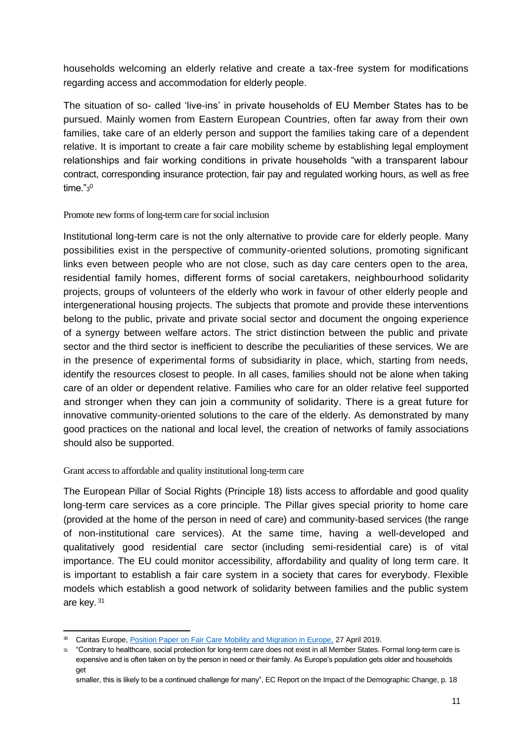households welcoming an elderly relative and create a tax-free system for modifications regarding access and accommodation for elderly people.

The situation of so- called 'live-ins' in private households of EU Member States has to be pursued. Mainly women from Eastern European Countries, often far away from their own families, take care of an elderly person and support the families taking care of a dependent relative. It is important to create a fair care mobility scheme by establishing legal employment relationships and fair working conditions in private households "with a transparent labour contract, corresponding insurance protection, fair pay and regulated working hours, as well as free time." $\rm{^{30}}$ 

Promote new forms of long-term care for social inclusion

Institutional long-term care is not the only alternative to provide care for elderly people. Many possibilities exist in the perspective of community-oriented solutions, promoting significant links even between people who are not close, such as day care centers open to the area, residential family homes, different forms of social caretakers, neighbourhood solidarity projects, groups of volunteers of the elderly who work in favour of other elderly people and intergenerational housing projects. The subjects that promote and provide these interventions belong to the public, private and private social sector and document the ongoing experience of a synergy between welfare actors. The strict distinction between the public and private sector and the third sector is inefficient to describe the peculiarities of these services. We are in the presence of experimental forms of subsidiarity in place, which, starting from needs, identify the resources closest to people. In all cases, families should not be alone when taking care of an older or dependent relative. Families who care for an older relative feel supported and stronger when they can join a community of solidarity. There is a great future for innovative community-oriented solutions to the care of the elderly. As demonstrated by many good practices on the national and local level, the creation of networks of family associations should also be supported.

Grant access to affordable and quality institutional long-term care

The European Pillar of Social Rights (Principle 18) lists access to affordable and good quality long-term care services as a core principle. The Pillar gives special priority to home care (provided at the home of the person in need of care) and community-based services (the range of non-institutional care services). At the same time, having a well-developed and qualitatively good residential care sector (including semi-residential care) is of vital importance. The EU could monitor accessibility, affordability and quality of long term care. It is important to establish a fair care system in a society that cares for everybody. Flexible models which establish a good network of solidarity between families and the public system are key. <sup>31</sup>

<sup>&</sup>lt;sup>30</sup> Caritas Europe, *Position Paper on Fair Care Mobility and Migration in Europe*, 27 April 2019.

<sup>31</sup> "Contrary to healthcare, social protection for long-term care does not exist in all Member States. Formal long-term care is expensive and is often taken on by the person in need or their family. As Europe's population gets older and households get

smaller, this is likely to be a continued challenge for many", EC Report on the Impact of the Demographic Change, p. 18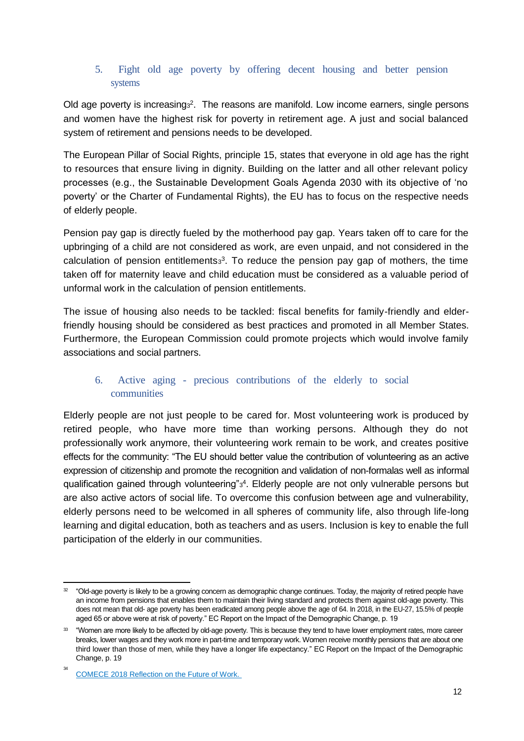#### 5. Fight old age poverty by offering decent housing and better pension systems

Old age poverty is increasing<sup>3</sup>. The reasons are manifold. Low income earners, single persons and women have the highest risk for poverty in retirement age. A just and social balanced system of retirement and pensions needs to be developed.

The European Pillar of Social Rights, principle 15, states that everyone in old age has the right to resources that ensure living in dignity. Building on the latter and all other relevant policy processes (e.g., the Sustainable Development Goals Agenda 2030 with its objective of 'no poverty' or the Charter of Fundamental Rights), the EU has to focus on the respective needs of elderly people.

Pension pay gap is directly fueled by the motherhood pay gap. Years taken off to care for the upbringing of a child are not considered as work, are even unpaid, and not considered in the calculation of pension entitlements $3^3$ . To reduce the pension pay gap of mothers, the time taken off for maternity leave and child education must be considered as a valuable period of unformal work in the calculation of pension entitlements.

The issue of housing also needs to be tackled: fiscal benefits for family-friendly and elderfriendly housing should be considered as best practices and promoted in all Member States. Furthermore, the European Commission could promote projects which would involve family associations and social partners.

## 6. Active aging - precious contributions of the elderly to social communities

Elderly people are not just people to be cared for. Most volunteering work is produced by retired people, who have more time than working persons. Although they do not professionally work anymore, their volunteering work remain to be work, and creates positive effects for the community: "The EU should better value the contribution of volunteering as an active expression of citizenship and promote the recognition and validation of non-formalas well as informal qualification gained through volunteering"<sup>34</sup>. Elderly people are not only vulnerable persons but are also active actors of social life. To overcome this confusion between age and vulnerability, elderly persons need to be welcomed in all spheres of community life, also through life-long learning and digital education, both as teachers and as users. Inclusion is key to enable the full participation of the elderly in our communities.

 $32$  "Old-age poverty is likely to be a growing concern as demographic change continues. Today, the majority of retired people have an income from pensions that enables them to maintain their living standard and protects them against old-age poverty. This does not mean that old- age poverty has been eradicated among people above the age of 64. In 2018, in the EU-27, 15.5% of people aged 65 or above were at risk of poverty." EC Report on the Impact of the Demographic Change, p. 19

<sup>&</sup>lt;sup>33</sup> "Women are more likely to be affected by old-age poverty. This is because they tend to have lower employment rates, more career breaks, lower wages and they work more in part-time and temporary work. Women receive monthly pensions that are about one third lower than those of men, while they have a longer life expectancy." EC Report on the Impact of the Demographic Change, p. 19

<sup>34</sup> [COMECE 2018 Reflection on the Future of Work.](http://www.comece.eu/dl/OtmNJKJKKlKOJqx4KJK/Future_of_Work_Report_EN_2P.pdf)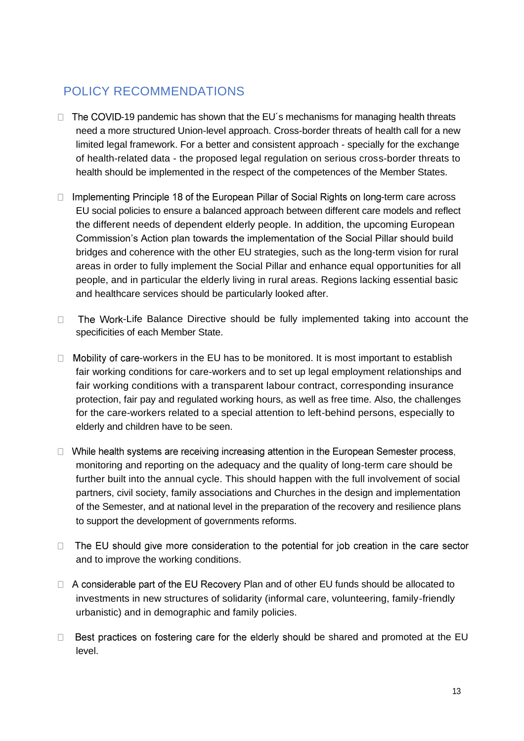## POLICY RECOMMENDATIONS

- $\Box$  The COVID-19 pandemic has shown that the EU's mechanisms for managing health threats need a more structured Union-level approach. Cross-border threats of health call for a new limited legal framework. For a better and consistent approach - specially for the exchange of health-related data - the proposed legal regulation on serious cross-border threats to health should be implemented in the respect of the competences of the Member States.
- $\Box$  Implementing Principle 18 of the European Pillar of Social Rights on long-term care across EU social policies to ensure a balanced approach between different care models and reflect the different needs of dependent elderly people. In addition, the upcoming European Commission's Action plan towards the implementation of the Social Pillar should build bridges and coherence with the other EU strategies, such as the long-term vision for rural areas in order to fully implement the Social Pillar and enhance equal opportunities for all people, and in particular the elderly living in rural areas. Regions lacking essential basic and healthcare services should be particularly looked after.
- $\Box$ The Work-Life Balance Directive should be fully implemented taking into account the specificities of each Member State.
- $\Box$  Mobility of care-workers in the EU has to be monitored. It is most important to establish fair working conditions for care-workers and to set up legal employment relationships and fair working conditions with a transparent labour contract, corresponding insurance protection, fair pay and regulated working hours, as well as free time. Also, the challenges for the care-workers related to a special attention to left-behind persons, especially to elderly and children have to be seen.
- $\Box$  While health systems are receiving increasing attention in the European Semester process, monitoring and reporting on the adequacy and the quality of long-term care should be further built into the annual cycle. This should happen with the full involvement of social partners, civil society, family associations and Churches in the design and implementation of the Semester, and at national level in the preparation of the recovery and resilience plans to support the development of governments reforms.
- $\Box$ The EU should give more consideration to the potential for job creation in the care sector and to improve the working conditions.
- $\Box$  A considerable part of the EU Recovery Plan and of other EU funds should be allocated to investments in new structures of solidarity (informal care, volunteering, family-friendly urbanistic) and in demographic and family policies.
- Best practices on fostering care for the elderly should be shared and promoted at the EU  $\Box$ level.